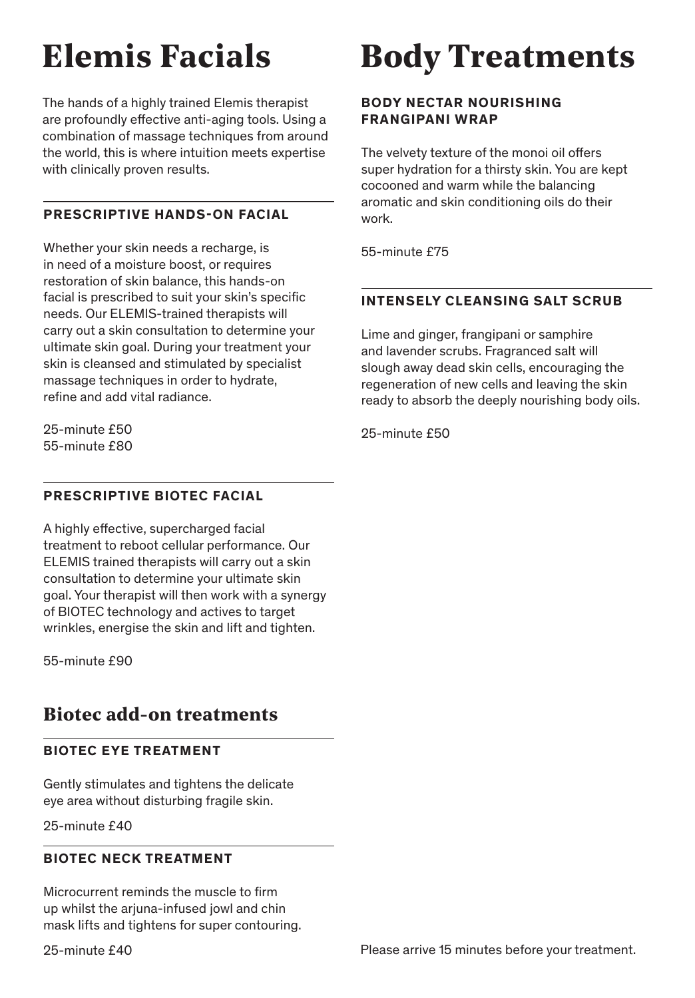# **Elemis Facials**

The hands of a highly trained Elemis therapist are profoundly effective anti-aging tools. Using a combination of massage techniques from around the world, this is where intuition meets expertise with clinically proven results.

### **PRESCRIPTIVE HANDS-ON FACIAL**

Whether your skin needs a recharge, is in need of a moisture boost, or requires restoration of skin balance, this hands-on facial is prescribed to suit your skin's specific needs. Our ELEMIS-trained therapists will carry out a skin consultation to determine your ultimate skin goal. During your treatment your skin is cleansed and stimulated by specialist massage techniques in order to hydrate, refine and add vital radiance.

25-minute £50 55-minute £80

#### **PRESCRIPTIVE BIOTEC FACIAL**

A highly effective, supercharged facial treatment to reboot cellular performance. Our ELEMIS trained therapists will carry out a skin consultation to determine your ultimate skin goal. Your therapist will then work with a synergy of BIOTEC technology and actives to target wrinkles, energise the skin and lift and tighten.

55-minute £90

### **Biotec add-on treatments**

#### **BIOTEC EYE TREATMENT**

Gently stimulates and tightens the delicate eye area without disturbing fragile skin.

25-minute £40

#### **BIOTEC NECK TREATMENT**

Microcurrent reminds the muscle to firm up whilst the arjuna-infused jowl and chin mask lifts and tightens for super contouring.

## **Body Treatments**

#### **BODY NECTAR NOURISHING FRANGIPANI WRAP**

The velvety texture of the monoi oil offers super hydration for a thirsty skin. You are kept cocooned and warm while the balancing aromatic and skin conditioning oils do their work.

55-minute £75

#### **INTENSELY CLEANSING SALT SCRUB**

Lime and ginger, frangipani or samphire and lavender scrubs. Fragranced salt will slough away dead skin cells, encouraging the regeneration of new cells and leaving the skin ready to absorb the deeply nourishing body oils.

25-minute £50